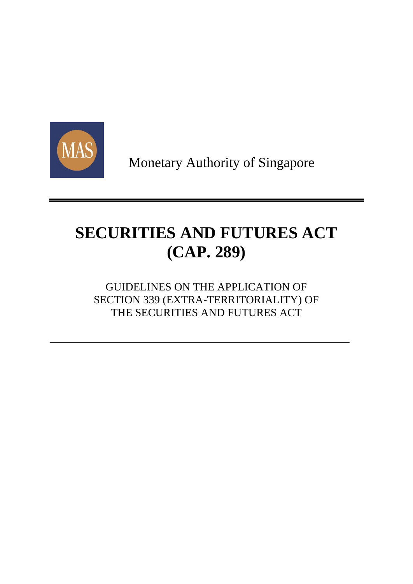

Monetary Authority of Singapore

# **SECURITIES AND FUTURES ACT (CAP. 289)**

# GUIDELINES ON THE APPLICATION OF SECTION 339 (EXTRA-TERRITORIALITY) OF THE SECURITIES AND FUTURES ACT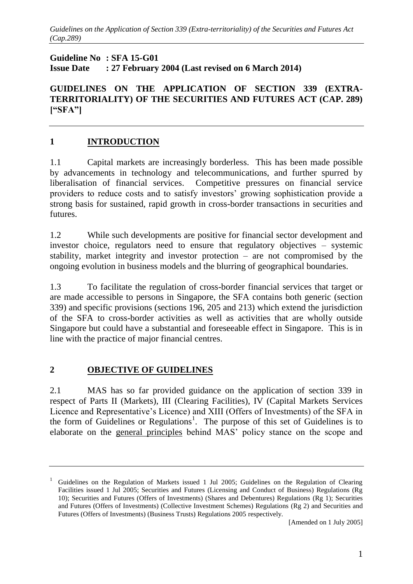**Guideline No : SFA 15-G01 Issue Date : 27 February 2004 (Last revised on 6 March 2014)**

**GUIDELINES ON THE APPLICATION OF SECTION 339 (EXTRA-TERRITORIALITY) OF THE SECURITIES AND FUTURES ACT (CAP. 289) ["SFA"]**

## **1 INTRODUCTION**

1.1 Capital markets are increasingly borderless. This has been made possible by advancements in technology and telecommunications, and further spurred by liberalisation of financial services. Competitive pressures on financial service providers to reduce costs and to satisfy investors' growing sophistication provide a strong basis for sustained, rapid growth in cross-border transactions in securities and futures.

1.2 While such developments are positive for financial sector development and investor choice, regulators need to ensure that regulatory objectives – systemic stability, market integrity and investor protection – are not compromised by the ongoing evolution in business models and the blurring of geographical boundaries.

1.3 To facilitate the regulation of cross-border financial services that target or are made accessible to persons in Singapore, the SFA contains both generic (section 339) and specific provisions (sections 196, 205 and 213) which extend the jurisdiction of the SFA to cross-border activities as well as activities that are wholly outside Singapore but could have a substantial and foreseeable effect in Singapore. This is in line with the practice of major financial centres.

#### **2 OBJECTIVE OF GUIDELINES**

2.1 MAS has so far provided guidance on the application of section 339 in respect of Parts II (Markets), III (Clearing Facilities), IV (Capital Markets Services Licence and Representative's Licence) and XIII (Offers of Investments) of the SFA in the form of Guidelines or Regulations<sup>1</sup>. The purpose of this set of Guidelines is to elaborate on the general principles behind MAS' policy stance on the scope and

<sup>1</sup> Guidelines on the Regulation of Markets issued 1 Jul 2005; Guidelines on the Regulation of Clearing Facilities issued 1 Jul 2005; Securities and Futures (Licensing and Conduct of Business) Regulations (Rg 10); [Securities and Futures \(Offers of Investments\) \(Shares and Debentures\) Regulations \(](http://www.mas.gov.sg/display.cfm?id=39042DF2-C15F-4B40-9BEDD76E1BD0971B)Rg 1); Securities and Futures (Offers of Investments) (Collective Investment Schemes) Regulations (Rg 2) and Securities and Futures (Offers of Investments) (Business Trusts) Regulations 2005 respectively.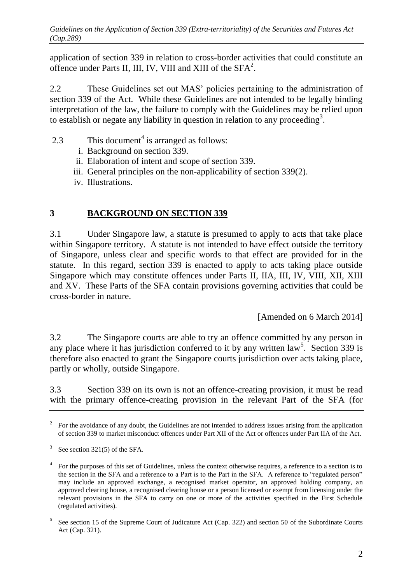application of section 339 in relation to cross-border activities that could constitute an offence under Parts II, III, IV, VIII and XIII of the SFA<sup>2</sup>.

2.2 These Guidelines set out MAS' policies pertaining to the administration of section 339 of the Act. While these Guidelines are not intended to be legally binding interpretation of the law, the failure to comply with the Guidelines may be relied upon to establish or negate any liability in question in relation to any proceeding<sup>3</sup>.

- 2.3 This document<sup>4</sup> is arranged as follows:
	- i. Background on section 339.
	- ii. Elaboration of intent and scope of section 339.
	- iii. General principles on the non-applicability of section 339(2).
	- iv. Illustrations.

# **3 BACKGROUND ON SECTION 339**

3.1 Under Singapore law, a statute is presumed to apply to acts that take place within Singapore territory. A statute is not intended to have effect outside the territory of Singapore, unless clear and specific words to that effect are provided for in the statute. In this regard, section 339 is enacted to apply to acts taking place outside Singapore which may constitute offences under Parts II, IIA, III, IV, VIII, XII, XIII and XV. These Parts of the SFA contain provisions governing activities that could be cross-border in nature.

[Amended on 6 March 2014]

3.2 The Singapore courts are able to try an offence committed by any person in any place where it has jurisdiction conferred to it by any written  $law^5$ . Section 339 is therefore also enacted to grant the Singapore courts jurisdiction over acts taking place, partly or wholly, outside Singapore.

3.3 Section 339 on its own is not an offence-creating provision, it must be read with the primary offence-creating provision in the relevant Part of the SFA (for

<sup>2</sup> For the avoidance of any doubt, the Guidelines are not intended to address issues arising from the application of section 339 to market misconduct offences under Part XII of the Act or offences under Part IIA of the Act.

 $3$  See section 321(5) of the SFA.

<sup>4</sup> For the purposes of this set of Guidelines, unless the context otherwise requires, a reference to a section is to the section in the SFA and a reference to a Part is to the Part in the SFA. A reference to "regulated person" may include an approved exchange, a recognised market operator, an approved holding company, an approved clearing house, a recognised clearing house or a person licensed or exempt from licensing under the relevant provisions in the SFA to carry on one or more of the activities specified in the First Schedule (regulated activities).

 5 See section 15 of the Supreme Court of Judicature Act (Cap. 322) and section 50 of the Subordinate Courts Act (Cap. 321).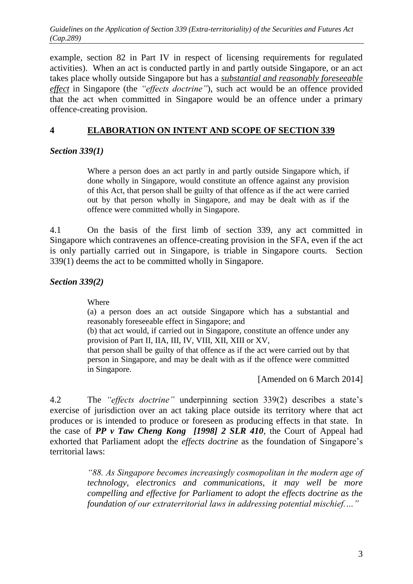example, section 82 in Part IV in respect of licensing requirements for regulated activities). When an act is conducted partly in and partly outside Singapore, or an act takes place wholly outside Singapore but has a *substantial and reasonably foreseeable effect* in Singapore (the *"effects doctrine"*), such act would be an offence provided that the act when committed in Singapore would be an offence under a primary offence-creating provision.

#### **4 ELABORATION ON INTENT AND SCOPE OF SECTION 339**

*Section 339(1)* 

Where a person does an act partly in and partly outside Singapore which, if done wholly in Singapore, would constitute an offence against any provision of this Act, that person shall be guilty of that offence as if the act were carried out by that person wholly in Singapore, and may be dealt with as if the offence were committed wholly in Singapore.

4.1 On the basis of the first limb of section 339, any act committed in Singapore which contravenes an offence-creating provision in the SFA, even if the act is only partially carried out in Singapore, is triable in Singapore courts. Section 339(1) deems the act to be committed wholly in Singapore.

*Section 339(2)*

Where

(a) a person does an act outside Singapore which has a substantial and reasonably foreseeable effect in Singapore; and

(b) that act would, if carried out in Singapore, constitute an offence under any provision of Part II, IIA, III, IV, VIII, XII, XIII or XV,

that person shall be guilty of that offence as if the act were carried out by that person in Singapore, and may be dealt with as if the offence were committed in Singapore.

[Amended on 6 March 2014]

4.2 The *"effects doctrine"* underpinning section 339(2) describes a state's exercise of jurisdiction over an act taking place outside its territory where that act produces or is intended to produce or foreseen as producing effects in that state. In the case of *PP v Taw Cheng Kong [1998] 2 SLR 410*, the Court of Appeal had exhorted that Parliament adopt the *effects doctrine* as the foundation of Singapore's territorial laws:

> *"88. As Singapore becomes increasingly cosmopolitan in the modern age of technology, electronics and communications, it may well be more compelling and effective for Parliament to adopt the effects doctrine as the foundation of our extraterritorial laws in addressing potential mischief.…"*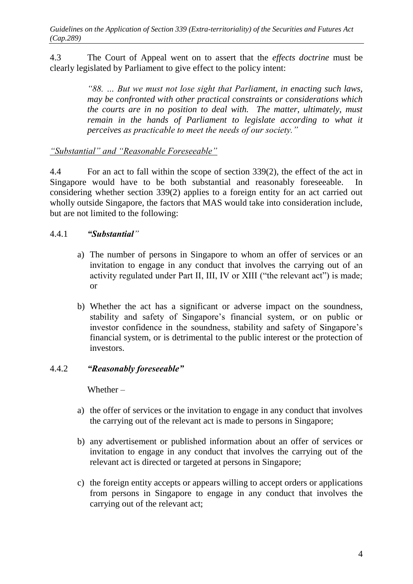4.3 The Court of Appeal went on to assert that the *effects doctrine* must be clearly legislated by Parliament to give effect to the policy intent:

> *"88. … But we must not lose sight that Parliament, in enacting such laws, may be confronted with other practical constraints or considerations which the courts are in no position to deal with. The matter, ultimately, must remain in the hands of Parliament to legislate according to what it perceives as practicable to meet the needs of our society."*

# *"Substantial" and "Reasonable Foreseeable"*

4.4 For an act to fall within the scope of section 339(2), the effect of the act in Singapore would have to be both substantial and reasonably foreseeable. In considering whether section 339(2) applies to a foreign entity for an act carried out wholly outside Singapore, the factors that MAS would take into consideration include, but are not limited to the following:

# 4.4.1 *"Substantial"*

- a) The number of persons in Singapore to whom an offer of services or an invitation to engage in any conduct that involves the carrying out of an activity regulated under Part II, III, IV or XIII ("the relevant act") is made; or
- b) Whether the act has a significant or adverse impact on the soundness, stability and safety of Singapore's financial system, or on public or investor confidence in the soundness, stability and safety of Singapore's financial system, or is detrimental to the public interest or the protection of investors.

# 4.4.2 *"Reasonably foreseeable"*

Whether –

- a) the offer of services or the invitation to engage in any conduct that involves the carrying out of the relevant act is made to persons in Singapore;
- b) any advertisement or published information about an offer of services or invitation to engage in any conduct that involves the carrying out of the relevant act is directed or targeted at persons in Singapore;
- c) the foreign entity accepts or appears willing to accept orders or applications from persons in Singapore to engage in any conduct that involves the carrying out of the relevant act;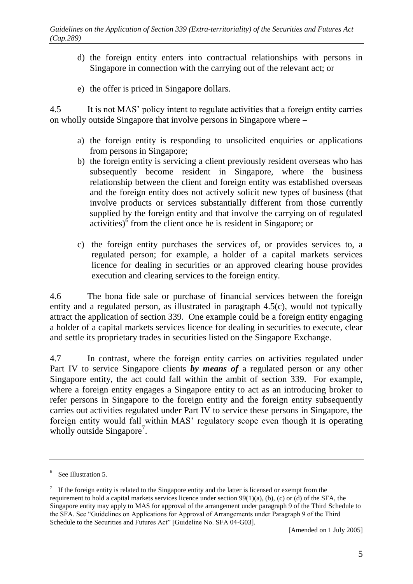- d) the foreign entity enters into contractual relationships with persons in Singapore in connection with the carrying out of the relevant act; or
- e) the offer is priced in Singapore dollars.

4.5 It is not MAS' policy intent to regulate activities that a foreign entity carries on wholly outside Singapore that involve persons in Singapore where –

- a) the foreign entity is responding to unsolicited enquiries or applications from persons in Singapore;
- b) the foreign entity is servicing a client previously resident overseas who has subsequently become resident in Singapore, where the business relationship between the client and foreign entity was established overseas and the foreign entity does not actively solicit new types of business (that involve products or services substantially different from those currently supplied by the foreign entity and that involve the carrying on of regulated  $\arct{a}$  activities)<sup>6</sup> from the client once he is resident in Singapore; or
- c) the foreign entity purchases the services of, or provides services to, a regulated person; for example, a holder of a capital markets services licence for dealing in securities or an approved clearing house provides execution and clearing services to the foreign entity.

4.6 The bona fide sale or purchase of financial services between the foreign entity and a regulated person, as illustrated in paragraph 4.5(c), would not typically attract the application of section 339. One example could be a foreign entity engaging a holder of a capital markets services licence for dealing in securities to execute, clear and settle its proprietary trades in securities listed on the Singapore Exchange.

4.7 In contrast, where the foreign entity carries on activities regulated under Part IV to service Singapore clients *by means of* a regulated person or any other Singapore entity, the act could fall within the ambit of section 339. For example, where a foreign entity engages a Singapore entity to act as an introducing broker to refer persons in Singapore to the foreign entity and the foreign entity subsequently carries out activities regulated under Part IV to service these persons in Singapore, the foreign entity would fall within MAS' regulatory scope even though it is operating wholly outside Singapore<sup>7</sup>.

<sup>6</sup> See Illustration 5.

 $\frac{7}{1}$  If the foreign entity is related to the Singapore entity and the latter is licensed or exempt from the requirement to hold a capital markets services licence under section  $99(1)(a)$ , (b), (c) or (d) of the SFA, the Singapore entity may apply to MAS for approval of the arrangement under paragraph 9 of the Third Schedule to the SFA. See "Guidelines on Applications for Approval of Arrangements under Paragraph 9 of the Third Schedule to the Securities and Futures Act" [Guideline No. SFA 04-G03].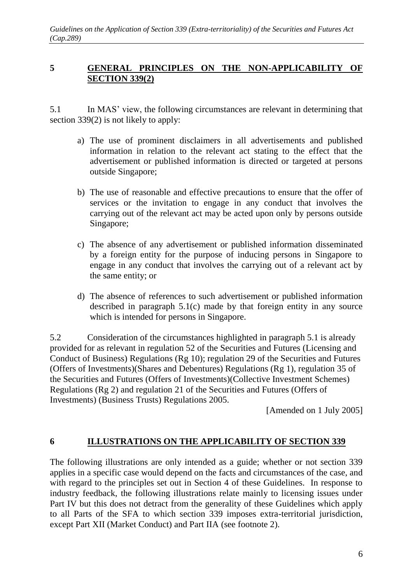## **5 GENERAL PRINCIPLES ON THE NON-APPLICABILITY OF SECTION 339(2)**

5.1 In MAS' view, the following circumstances are relevant in determining that section 339(2) is not likely to apply:

- a) The use of prominent disclaimers in all advertisements and published information in relation to the relevant act stating to the effect that the advertisement or published information is directed or targeted at persons outside Singapore;
- b) The use of reasonable and effective precautions to ensure that the offer of services or the invitation to engage in any conduct that involves the carrying out of the relevant act may be acted upon only by persons outside Singapore;
- c) The absence of any advertisement or published information disseminated by a foreign entity for the purpose of inducing persons in Singapore to engage in any conduct that involves the carrying out of a relevant act by the same entity; or
- d) The absence of references to such advertisement or published information described in paragraph 5.1(c) made by that foreign entity in any source which is intended for persons in Singapore.

5.2 Consideration of the circumstances highlighted in paragraph 5.1 is already provided for as relevant in regulation 52 of the Securities and Futures (Licensing and Conduct of Business) Regulations (Rg 10); regulation 29 of the Securities and Futures (Offers of Investments)(Shares and Debentures) Regulations (Rg 1), regulation 35 of the Securities and Futures (Offers of Investments)(Collective Investment Schemes) Regulations (Rg 2) and regulation 21 of the Securities and Futures (Offers of Investments) (Business Trusts) Regulations 2005.

[Amended on 1 July 2005]

# **6 ILLUSTRATIONS ON THE APPLICABILITY OF SECTION 339**

The following illustrations are only intended as a guide; whether or not section 339 applies in a specific case would depend on the facts and circumstances of the case, and with regard to the principles set out in Section 4 of these Guidelines. In response to industry feedback, the following illustrations relate mainly to licensing issues under Part IV but this does not detract from the generality of these Guidelines which apply to all Parts of the SFA to which section 339 imposes extra-territorial jurisdiction, except Part XII (Market Conduct) and Part IIA (see footnote 2).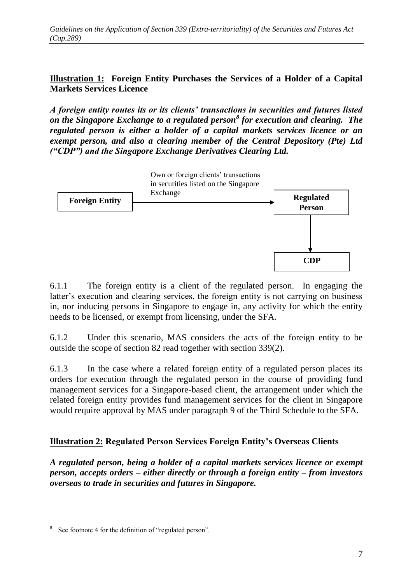#### **Illustration 1: Foreign Entity Purchases the Services of a Holder of a Capital Markets Services Licence**

*A foreign entity routes its or its clients' transactions in securities and futures listed on the Singapore Exchange to a regulated person<sup>8</sup> for execution and clearing. The regulated person is either a holder of a capital markets services licence or an exempt person, and also a clearing member of the Central Depository (Pte) Ltd ("CDP") and the Singapore Exchange Derivatives Clearing Ltd.*



6.1.1 The foreign entity is a client of the regulated person. In engaging the latter's execution and clearing services, the foreign entity is not carrying on business in, nor inducing persons in Singapore to engage in, any activity for which the entity needs to be licensed, or exempt from licensing, under the SFA.

6.1.2 Under this scenario, MAS considers the acts of the foreign entity to be outside the scope of section 82 read together with section 339(2).

6.1.3 In the case where a related foreign entity of a regulated person places its orders for execution through the regulated person in the course of providing fund management services for a Singapore-based client, the arrangement under which the related foreign entity provides fund management services for the client in Singapore would require approval by MAS under paragraph 9 of the Third Schedule to the SFA.

# **Illustration 2: Regulated Person Services Foreign Entity's Overseas Clients**

*A regulated person, being a holder of a capital markets services licence or exempt person, accepts orders – either directly or through a foreign entity – from investors overseas to trade in securities and futures in Singapore.*

<sup>8</sup> See footnote 4 for the definition of "regulated person".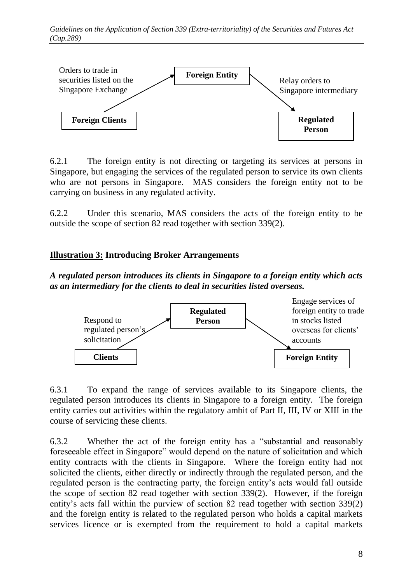

6.2.1 The foreign entity is not directing or targeting its services at persons in Singapore, but engaging the services of the regulated person to service its own clients who are not persons in Singapore. MAS considers the foreign entity not to be carrying on business in any regulated activity.

6.2.2 Under this scenario, MAS considers the acts of the foreign entity to be outside the scope of section 82 read together with section 339(2).

# **Illustration 3: Introducing Broker Arrangements**

*A regulated person introduces its clients in Singapore to a foreign entity which acts as an intermediary for the clients to deal in securities listed overseas.* 



6.3.1 To expand the range of services available to its Singapore clients, the regulated person introduces its clients in Singapore to a foreign entity. The foreign entity carries out activities within the regulatory ambit of Part II, III, IV or XIII in the course of servicing these clients.

6.3.2 Whether the act of the foreign entity has a "substantial and reasonably foreseeable effect in Singapore" would depend on the nature of solicitation and which entity contracts with the clients in Singapore. Where the foreign entity had not solicited the clients, either directly or indirectly through the regulated person, and the regulated person is the contracting party, the foreign entity's acts would fall outside the scope of section 82 read together with section 339(2). However, if the foreign entity's acts fall within the purview of section 82 read together with section 339(2) and the foreign entity is related to the regulated person who holds a capital markets services licence or is exempted from the requirement to hold a capital markets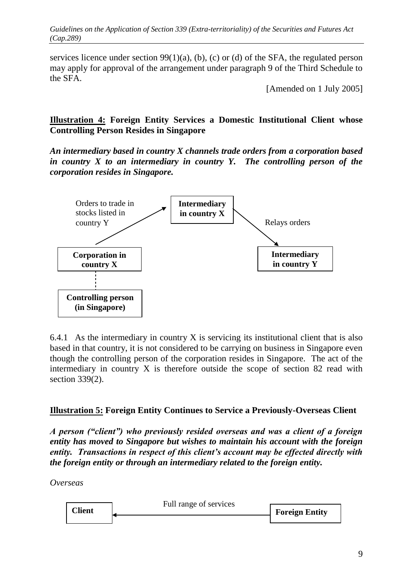services licence under section 99(1)(a), (b), (c) or (d) of the SFA, the regulated person may apply for approval of the arrangement under paragraph 9 of the Third Schedule to the SFA.

[Amended on 1 July 2005]

#### **Illustration 4: Foreign Entity Services a Domestic Institutional Client whose Controlling Person Resides in Singapore**

*An intermediary based in country X channels trade orders from a corporation based in country X to an intermediary in country Y. The controlling person of the corporation resides in Singapore.*



6.4.1 As the intermediary in country X is servicing its institutional client that is also based in that country, it is not considered to be carrying on business in Singapore even though the controlling person of the corporation resides in Singapore. The act of the intermediary in country X is therefore outside the scope of section 82 read with section 339(2).

# **Illustration 5: Foreign Entity Continues to Service a Previously-Overseas Client**

*A person ("client") who previously resided overseas and was a client of a foreign entity has moved to Singapore but wishes to maintain his account with the foreign entity. Transactions in respect of this client's account may be effected directly with the foreign entity or through an intermediary related to the foreign entity.* 

*Overseas*

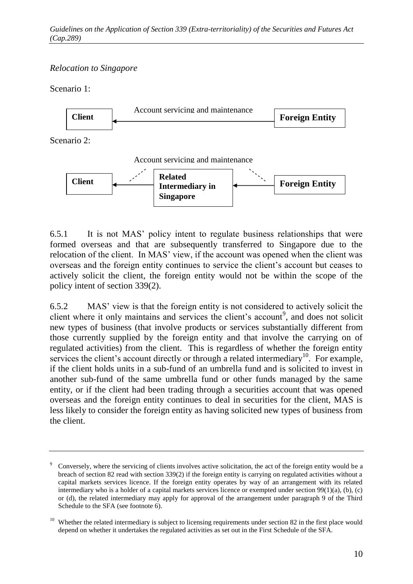# *Relocation to Singapore*

Scenario 1:



6.5.1 It is not MAS' policy intent to regulate business relationships that were formed overseas and that are subsequently transferred to Singapore due to the relocation of the client. In MAS' view, if the account was opened when the client was overseas and the foreign entity continues to service the client's account but ceases to actively solicit the client, the foreign entity would not be within the scope of the policy intent of section 339(2).

6.5.2 MAS' view is that the foreign entity is not considered to actively solicit the client where it only maintains and services the client's account<sup>9</sup>, and does not solicit new types of business (that involve products or services substantially different from those currently supplied by the foreign entity and that involve the carrying on of regulated activities) from the client. This is regardless of whether the foreign entity services the client's account directly or through a related intermediary<sup>10</sup>. For example, if the client holds units in a sub-fund of an umbrella fund and is solicited to invest in another sub-fund of the same umbrella fund or other funds managed by the same entity, or if the client had been trading through a securities account that was opened overseas and the foreign entity continues to deal in securities for the client, MAS is less likely to consider the foreign entity as having solicited new types of business from the client.

<sup>9</sup> Conversely, where the servicing of clients involves active solicitation, the act of the foreign entity would be a breach of section 82 read with section 339(2) if the foreign entity is carrying on regulated activities without a capital markets services licence. If the foreign entity operates by way of an arrangement with its related intermediary who is a holder of a capital markets services licence or exempted under section 99(1)(a), (b), (c) or (d), the related intermediary may apply for approval of the arrangement under paragraph 9 of the Third Schedule to the SFA (see footnote 6).

<sup>&</sup>lt;sup>10</sup> Whether the related intermediary is subject to licensing requirements under section 82 in the first place would depend on whether it undertakes the regulated activities as set out in the First Schedule of the SFA.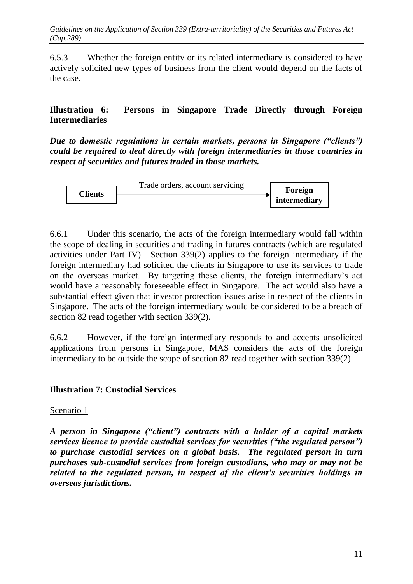6.5.3 Whether the foreign entity or its related intermediary is considered to have actively solicited new types of business from the client would depend on the facts of the case.

## **Illustration 6: Persons in Singapore Trade Directly through Foreign Intermediaries**

*Due to domestic regulations in certain markets, persons in Singapore ("clients") could be required to deal directly with foreign intermediaries in those countries in respect of securities and futures traded in those markets.*



6.6.1 Under this scenario, the acts of the foreign intermediary would fall within the scope of dealing in securities and trading in futures contracts (which are regulated activities under Part IV). Section 339(2) applies to the foreign intermediary if the foreign intermediary had solicited the clients in Singapore to use its services to trade on the overseas market. By targeting these clients, the foreign intermediary's act would have a reasonably foreseeable effect in Singapore. The act would also have a substantial effect given that investor protection issues arise in respect of the clients in Singapore. The acts of the foreign intermediary would be considered to be a breach of section 82 read together with section 339(2).

6.6.2 However, if the foreign intermediary responds to and accepts unsolicited applications from persons in Singapore, MAS considers the acts of the foreign intermediary to be outside the scope of section 82 read together with section 339(2).

#### **Illustration 7: Custodial Services**

#### Scenario 1

*A person in Singapore ("client") contracts with a holder of a capital markets services licence to provide custodial services for securities ("the regulated person") to purchase custodial services on a global basis. The regulated person in turn purchases sub-custodial services from foreign custodians, who may or may not be related to the regulated person, in respect of the client's securities holdings in overseas jurisdictions.*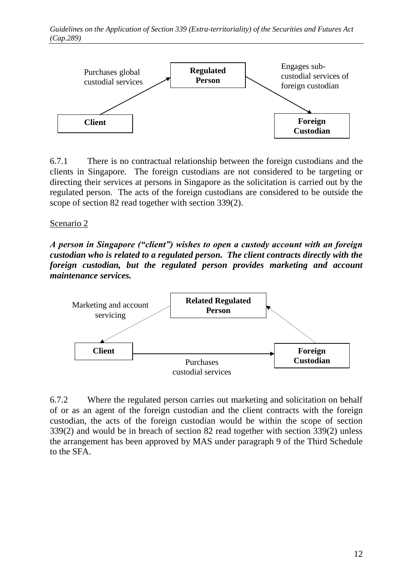

6.7.1 There is no contractual relationship between the foreign custodians and the clients in Singapore. The foreign custodians are not considered to be targeting or directing their services at persons in Singapore as the solicitation is carried out by the regulated person. The acts of the foreign custodians are considered to be outside the scope of section 82 read together with section 339(2).

#### Scenario 2

*A person in Singapore ("client") wishes to open a custody account with an foreign custodian who is related to a regulated person. The client contracts directly with the foreign custodian, but the regulated person provides marketing and account maintenance services.* 



6.7.2 Where the regulated person carries out marketing and solicitation on behalf of or as an agent of the foreign custodian and the client contracts with the foreign custodian, the acts of the foreign custodian would be within the scope of section 339(2) and would be in breach of section 82 read together with section 339(2) unless the arrangement has been approved by MAS under paragraph 9 of the Third Schedule to the SFA.